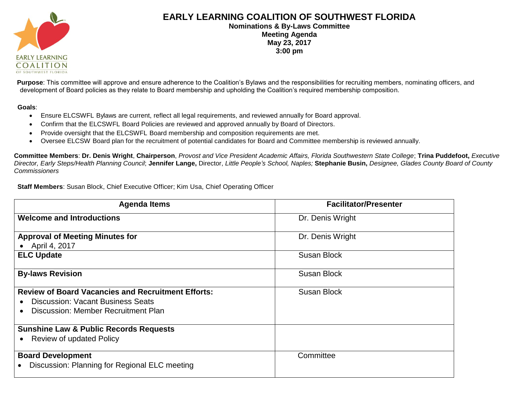

## **EARLY LEARNING COALITION OF SOUTHWEST FLORIDA Nominations & By-Laws Committee**

**Meeting Agenda May 23, 2017 3:00 pm**

**Purpose**: This committee will approve and ensure adherence to the Coalition's Bylaws and the responsibilities for recruiting members, nominating officers, and development of Board policies as they relate to Board membership and upholding the Coalition's required membership composition.

## **Goals**:

- Ensure ELCSWFL Bylaws are current, reflect all legal requirements, and reviewed annually for Board approval.
- Confirm that the ELCSWFL Board Policies are reviewed and approved annually by Board of Directors.
- Provide oversight that the ELCSWFL Board membership and composition requirements are met.
- Oversee ELCSW Board plan for the recruitment of potential candidates for Board and Committee membership is reviewed annually.

**Committee Members**: **Dr. Denis Wright**, **Chairperson**, *Provost and Vice President Academic Affairs, Florida Southwestern State College*; **Trina Puddefoot,** *Executive*  Director, Early Steps/Health Planning Council; Jennifer Lange, Director, Little People's School, Naples; Stephanie Busin, Designee, Glades County Board of County *Commissioners*

**Staff Members**: Susan Block, Chief Executive Officer; Kim Usa, Chief Operating Officer

| <b>Agenda Items</b>                                       | <b>Facilitator/Presenter</b> |
|-----------------------------------------------------------|------------------------------|
| <b>Welcome and Introductions</b>                          | Dr. Denis Wright             |
| <b>Approval of Meeting Minutes for</b>                    | Dr. Denis Wright             |
| April 4, 2017                                             |                              |
| <b>ELC Update</b>                                         | Susan Block                  |
| <b>By-laws Revision</b>                                   | <b>Susan Block</b>           |
| <b>Review of Board Vacancies and Recruitment Efforts:</b> | <b>Susan Block</b>           |
| <b>Discussion: Vacant Business Seats</b>                  |                              |
| Discussion: Member Recruitment Plan                       |                              |
| <b>Sunshine Law &amp; Public Records Requests</b>         |                              |
| <b>Review of updated Policy</b><br>$\bullet$              |                              |
| <b>Board Development</b>                                  | Committee                    |
| Discussion: Planning for Regional ELC meeting             |                              |